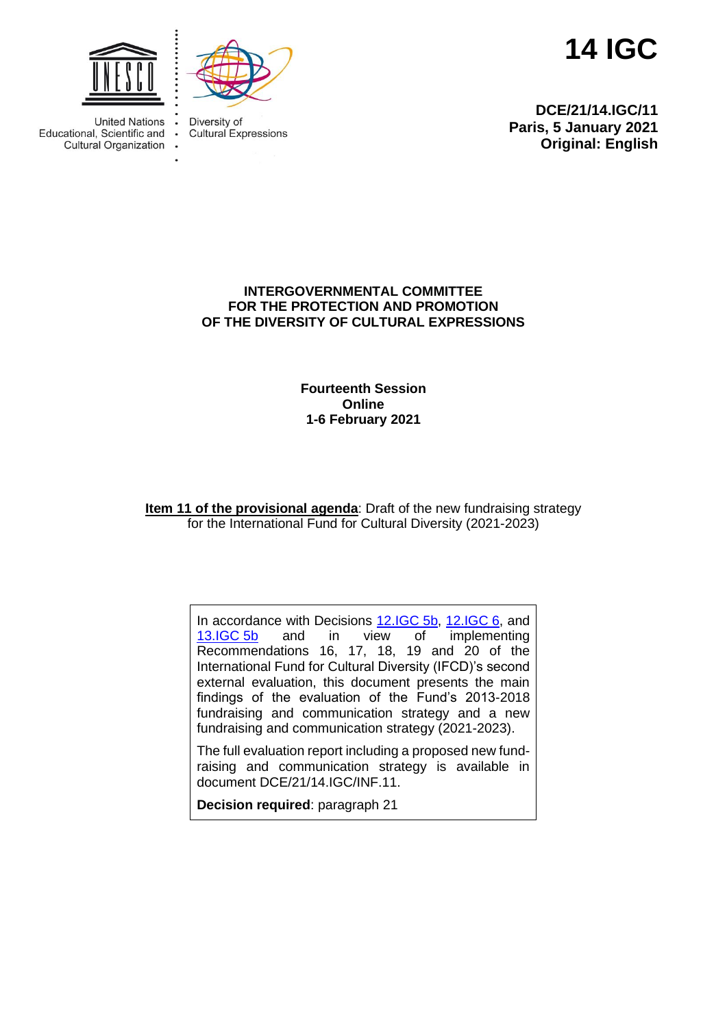



**Cultural Expressions** 

Diversity of

 $\ddot{\bullet}$ 

ä,

**14 IGC**

**DCE/21/14.IGC/11 Paris, 5 January 2021 Original: English**

**United Nations** Educational, Scientific and **Cultural Organization** 

## **INTERGOVERNMENTAL COMMITTEE FOR THE PROTECTION AND PROMOTION OF THE DIVERSITY OF CULTURAL EXPRESSIONS**

**Fourteenth Session Online 1-6 February 2021**

**Item 11 of the provisional agenda**: Draft of the new fundraising strategy for the International Fund for Cultural Diversity (2021-2023)

> In accordance with Decisions [12.IGC](https://en.unesco.org/creativity/sites/creativity/files/12igc_decisions_en.pdf) 5b, 12.IGC 6, and 13.IGC 5b and in view of implementing [13.IGC](https://en.unesco.org/creativity/sites/creativity/files/sessions/13igc_decisions_en.pdf) 5b and in view of implementing Recommendations 16, 17, 18, 19 and 20 of the International Fund for Cultural Diversity (IFCD)'s second external evaluation, this document presents the main findings of the evaluation of the Fund's 2013-2018 fundraising and communication strategy and a new fundraising and communication strategy (2021-2023).

The full evaluation report including a proposed new fundraising and communication strategy is available in document DCE/21/14.IGC/INF.11.

**Decision required**: paragraph 21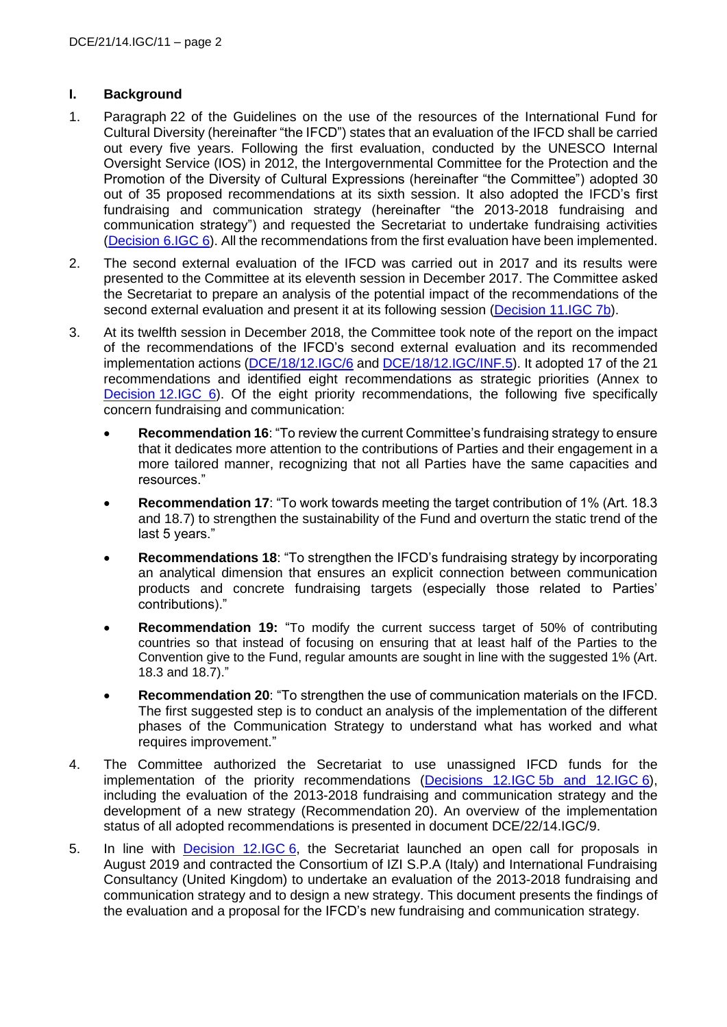# **I. Background**

- 1. Paragraph 22 of the Guidelines on the use of the resources of the International Fund for Cultural Diversity (hereinafter "the IFCD") states that an evaluation of the IFCD shall be carried out every five years. Following the first evaluation, conducted by the UNESCO Internal Oversight Service (IOS) in 2012, the Intergovernmental Committee for the Protection and the Promotion of the Diversity of Cultural Expressions (hereinafter "the Committee") adopted 30 out of 35 proposed recommendations at its sixth session. It also adopted the IFCD's first fundraising and communication strategy (hereinafter "the 2013-2018 fundraising and communication strategy") and requested the Secretariat to undertake fundraising activities [\(Decision](https://en.unesco.org/creativity/sites/creativity/files/sessions/221094e.pdf) 6.IGC 6). All the recommendations from the first evaluation have been implemented.
- 2. The second external evaluation of the IFCD was carried out in 2017 and its results were presented to the Committee at its eleventh session in December 2017. The Committee asked the Secretariat to prepare an analysis of the potential impact of the recommendations of the second external evaluation and present it at its following session (Decision [11.IGC 7b\)](https://en.unesco.org/creativity/sites/creativity/files/sessions/11igc_decisions_en.pdf).
- 3. At its twelfth session in December 2018, the Committee took note of the report on the impact of the recommendations of the IFCD's second external evaluation and its recommended implementation actions [\(DCE/18/12.IGC/6](https://en.unesco.org/creativity/sites/creativity/files/12igc_6_recommendation_review_en.pdf) and [DCE/18/12.IGC/INF.5\)](https://en.unesco.org/creativity/sites/creativity/files/12igc_inf5_en.pdf). It adopted 17 of the 21 recommendations and identified eight recommendations as strategic priorities (Annex to Decision [12.IGC 6\)](https://en.unesco.org/creativity/sites/creativity/files/12igc_decisions_en.pdf). Of the eight priority recommendations, the following five specifically concern fundraising and communication:
	- **Recommendation 16:** "To review the current Committee's fundraising strategy to ensure that it dedicates more attention to the contributions of Parties and their engagement in a more tailored manner, recognizing that not all Parties have the same capacities and resources."
	- **Recommendation 17**: "To work towards meeting the target contribution of 1% (Art. 18.3 and 18.7) to strengthen the sustainability of the Fund and overturn the static trend of the last 5 years."
	- **Recommendations 18**: "To strengthen the IFCD's fundraising strategy by incorporating an analytical dimension that ensures an explicit connection between communication products and concrete fundraising targets (especially those related to Parties' contributions)."
	- **Recommendation 19:** "To modify the current success target of 50% of contributing countries so that instead of focusing on ensuring that at least half of the Parties to the Convention give to the Fund, regular amounts are sought in line with the suggested 1% (Art. 18.3 and 18.7)."
	- **Recommendation 20**: "To strengthen the use of communication materials on the IFCD. The first suggested step is to conduct an analysis of the implementation of the different phases of the Communication Strategy to understand what has worked and what requires improvement."
- 4. The Committee authorized the Secretariat to use unassigned IFCD funds for the implementation of the priority recommendations (Decisions 12.IGC [5b and 12.IGC](https://en.unesco.org/creativity/sites/creativity/files/12igc_decisions_en.pdf) 6), including the evaluation of the 2013-2018 fundraising and communication strategy and the development of a new strategy (Recommendation 20). An overview of the implementation status of all adopted recommendations is presented in document DCE/22/14.IGC/9.
- 5. In line with [Decision 12.IGC](https://en.unesco.org/creativity/sites/creativity/files/12igc_decisions_en.pdf) 6, the Secretariat launched an open call for proposals in August 2019 and contracted the Consortium of IZI S.P.A (Italy) and International Fundraising Consultancy (United Kingdom) to undertake an evaluation of the 2013-2018 fundraising and communication strategy and to design a new strategy. This document presents the findings of the evaluation and a proposal for the IFCD's new fundraising and communication strategy.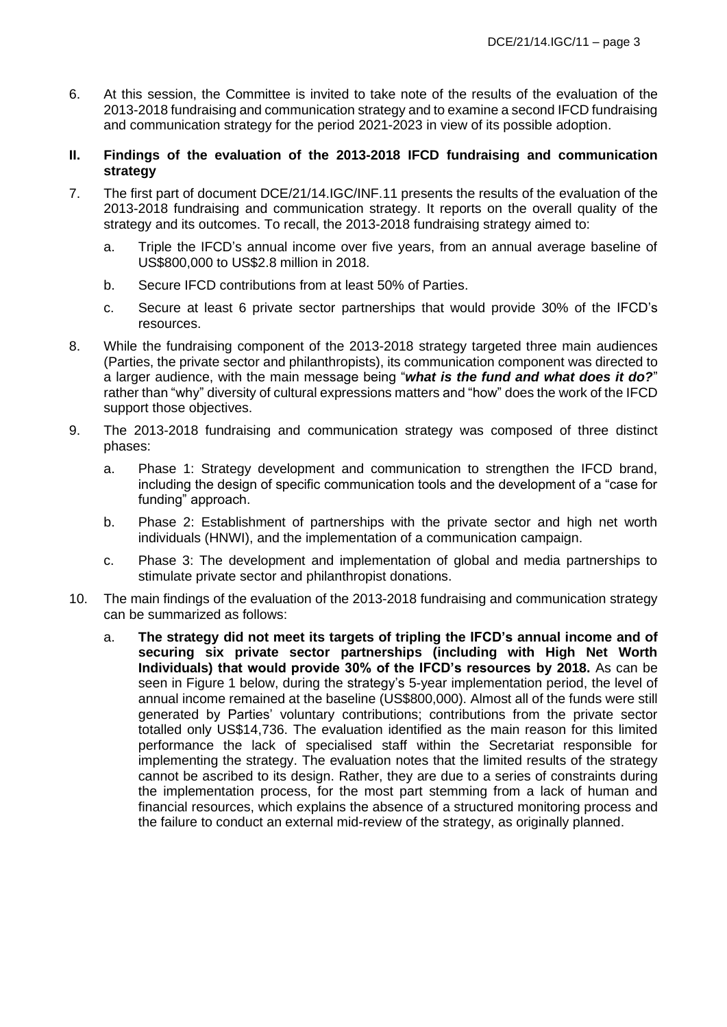6. At this session, the Committee is invited to take note of the results of the evaluation of the 2013-2018 fundraising and communication strategy and to examine a second IFCD fundraising and communication strategy for the period 2021-2023 in view of its possible adoption.

### **II. Findings of the evaluation of the 2013-2018 IFCD fundraising and communication strategy**

- 7. The first part of document DCE/21/14.IGC/INF.11 presents the results of the evaluation of the 2013-2018 fundraising and communication strategy. It reports on the overall quality of the strategy and its outcomes. To recall, the 2013-2018 fundraising strategy aimed to:
	- a. Triple the IFCD's annual income over five years, from an annual average baseline of US\$800,000 to US\$2.8 million in 2018.
	- b. Secure IFCD contributions from at least 50% of Parties.
	- c. Secure at least 6 private sector partnerships that would provide 30% of the IFCD's resources.
- 8. While the fundraising component of the 2013-2018 strategy targeted three main audiences (Parties, the private sector and philanthropists), its communication component was directed to a larger audience, with the main message being "*what is the fund and what does it do?*" rather than "why" diversity of cultural expressions matters and "how" does the work of the IFCD support those objectives.
- 9. The 2013-2018 fundraising and communication strategy was composed of three distinct phases:
	- a. Phase 1: Strategy development and communication to strengthen the IFCD brand, including the design of specific communication tools and the development of a "case for funding" approach.
	- b. Phase 2: Establishment of partnerships with the private sector and high net worth individuals (HNWI), and the implementation of a communication campaign.
	- c. Phase 3: The development and implementation of global and media partnerships to stimulate private sector and philanthropist donations.
- 10. The main findings of the evaluation of the 2013-2018 fundraising and communication strategy can be summarized as follows:
	- a. **The strategy did not meet its targets of tripling the IFCD's annual income and of securing six private sector partnerships (including with High Net Worth Individuals) that would provide 30% of the IFCD's resources by 2018.** As can be seen in Figure 1 below, during the strategy's 5-year implementation period, the level of annual income remained at the baseline (US\$800,000). Almost all of the funds were still generated by Parties' voluntary contributions; contributions from the private sector totalled only US\$14,736. The evaluation identified as the main reason for this limited performance the lack of specialised staff within the Secretariat responsible for implementing the strategy. The evaluation notes that the limited results of the strategy cannot be ascribed to its design. Rather, they are due to a series of constraints during the implementation process, for the most part stemming from a lack of human and financial resources, which explains the absence of a structured monitoring process and the failure to conduct an external mid-review of the strategy, as originally planned.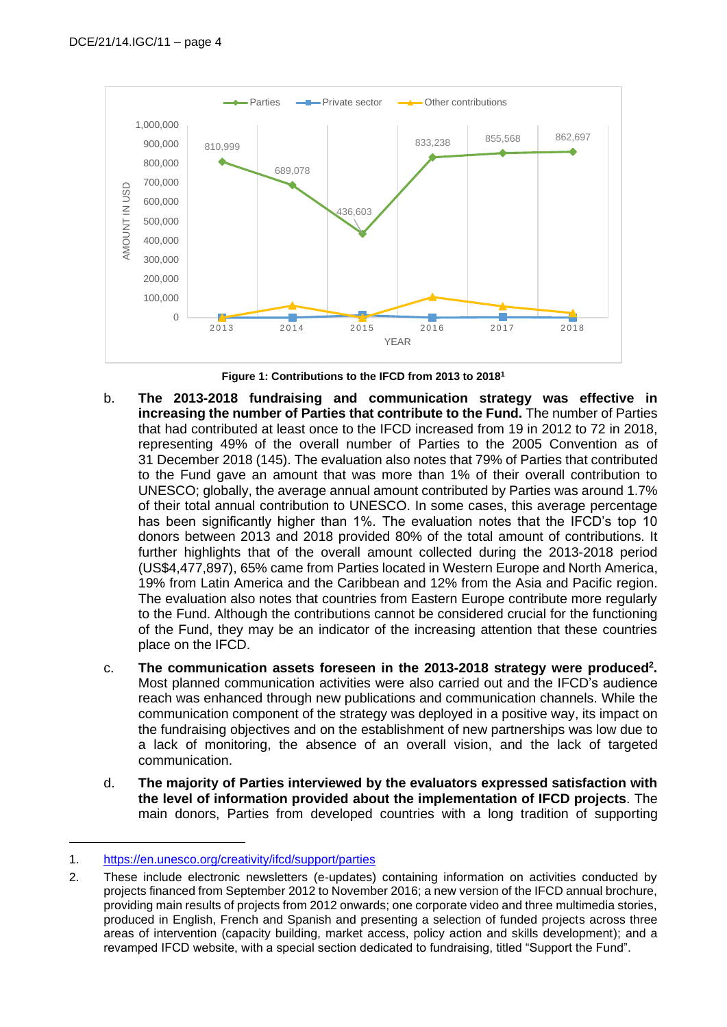

**Figure 1: Contributions to the IFCD from 2013 to 2018<sup>1</sup>**

- b. **The 2013-2018 fundraising and communication strategy was effective in increasing the number of Parties that contribute to the Fund.** The number of Parties that had contributed at least once to the IFCD increased from 19 in 2012 to 72 in 2018, representing 49% of the overall number of Parties to the 2005 Convention as of 31 December 2018 (145). The evaluation also notes that 79% of Parties that contributed to the Fund gave an amount that was more than 1% of their overall contribution to UNESCO; globally, the average annual amount contributed by Parties was around 1.7% of their total annual contribution to UNESCO. In some cases, this average percentage has been significantly higher than 1%. The evaluation notes that the IFCD's top 10 donors between 2013 and 2018 provided 80% of the total amount of contributions. It further highlights that of the overall amount collected during the 2013-2018 period (US\$4,477,897), 65% came from Parties located in Western Europe and North America, 19% from Latin America and the Caribbean and 12% from the Asia and Pacific region. The evaluation also notes that countries from Eastern Europe contribute more regularly to the Fund. Although the contributions cannot be considered crucial for the functioning of the Fund, they may be an indicator of the increasing attention that these countries place on the IFCD.
- c. **The communication assets foreseen in the 2013-2018 strategy were produced<sup>2</sup> .** Most planned communication activities were also carried out and the IFCD's audience reach was enhanced through new publications and communication channels. While the communication component of the strategy was deployed in a positive way, its impact on the fundraising objectives and on the establishment of new partnerships was low due to a lack of monitoring, the absence of an overall vision, and the lack of targeted communication.
- d. **The majority of Parties interviewed by the evaluators expressed satisfaction with the level of information provided about the implementation of IFCD projects**. The main donors, Parties from developed countries with a long tradition of supporting

<sup>1.</sup> <https://en.unesco.org/creativity/ifcd/support/parties>

<sup>2.</sup> These include electronic newsletters (e-updates) containing information on activities conducted by projects financed from September 2012 to November 2016; a new version of the IFCD annual brochure, providing main results of projects from 2012 onwards; one corporate video and three multimedia stories, produced in English, French and Spanish and presenting a selection of funded projects across three areas of intervention (capacity building, market access, policy action and skills development); and a revamped IFCD website, with a special section dedicated to fundraising, titled "Support the Fund".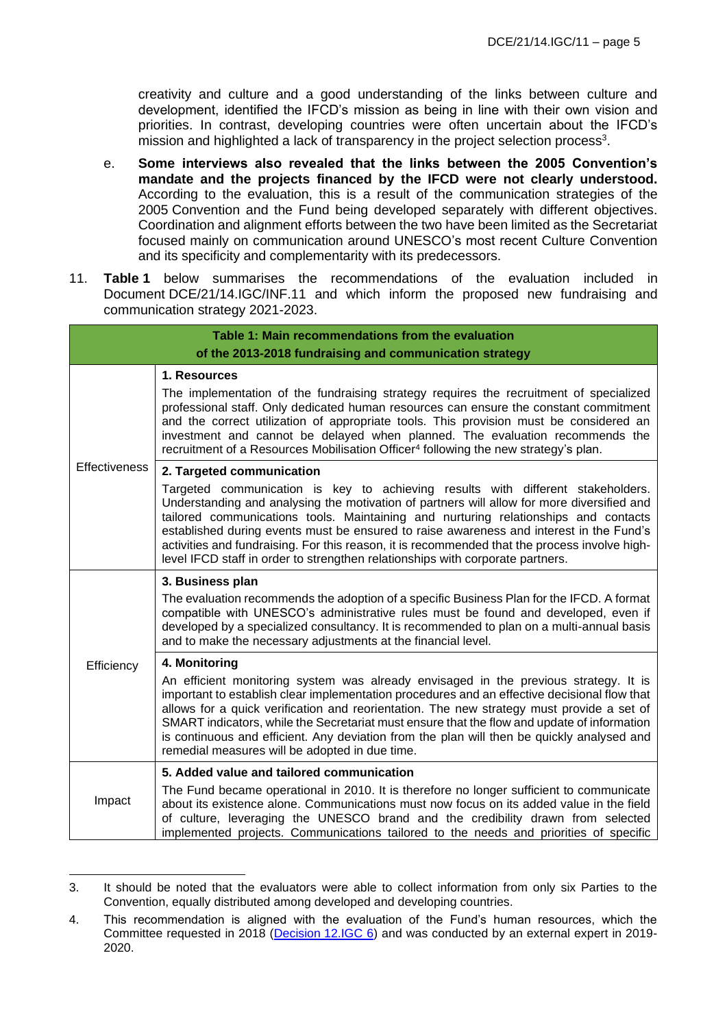creativity and culture and a good understanding of the links between culture and development, identified the IFCD's mission as being in line with their own vision and priorities. In contrast, developing countries were often uncertain about the IFCD's mission and highlighted a lack of transparency in the project selection process<sup>3</sup>.

- e. **Some interviews also revealed that the links between the 2005 Convention's mandate and the projects financed by the IFCD were not clearly understood.** According to the evaluation, this is a result of the communication strategies of the 2005 Convention and the Fund being developed separately with different objectives. Coordination and alignment efforts between the two have been limited as the Secretariat focused mainly on communication around UNESCO's most recent Culture Convention and its specificity and complementarity with its predecessors.
- 11. **Table 1** below summarises the recommendations of the evaluation included in Document DCE/21/14.IGC/INF.11 and which inform the proposed new fundraising and communication strategy 2021-2023.

| Table 1: Main recommendations from the evaluation                                                                                                                                                                                                                                                                                                                                                                                                                                                                                                                       |                                                                                                                                                                                                                                                                                                                                                                                                                                                                                                                                                                                                                                                                                                                                                                        |  |  |  |
|-------------------------------------------------------------------------------------------------------------------------------------------------------------------------------------------------------------------------------------------------------------------------------------------------------------------------------------------------------------------------------------------------------------------------------------------------------------------------------------------------------------------------------------------------------------------------|------------------------------------------------------------------------------------------------------------------------------------------------------------------------------------------------------------------------------------------------------------------------------------------------------------------------------------------------------------------------------------------------------------------------------------------------------------------------------------------------------------------------------------------------------------------------------------------------------------------------------------------------------------------------------------------------------------------------------------------------------------------------|--|--|--|
| of the 2013-2018 fundraising and communication strategy                                                                                                                                                                                                                                                                                                                                                                                                                                                                                                                 |                                                                                                                                                                                                                                                                                                                                                                                                                                                                                                                                                                                                                                                                                                                                                                        |  |  |  |
| <b>Effectiveness</b>                                                                                                                                                                                                                                                                                                                                                                                                                                                                                                                                                    | 1. Resources<br>The implementation of the fundraising strategy requires the recruitment of specialized<br>professional staff. Only dedicated human resources can ensure the constant commitment<br>and the correct utilization of appropriate tools. This provision must be considered an<br>investment and cannot be delayed when planned. The evaluation recommends the<br>recruitment of a Resources Mobilisation Officer <sup>4</sup> following the new strategy's plan.                                                                                                                                                                                                                                                                                           |  |  |  |
|                                                                                                                                                                                                                                                                                                                                                                                                                                                                                                                                                                         | 2. Targeted communication<br>Targeted communication is key to achieving results with different stakeholders.<br>Understanding and analysing the motivation of partners will allow for more diversified and<br>tailored communications tools. Maintaining and nurturing relationships and contacts<br>established during events must be ensured to raise awareness and interest in the Fund's<br>activities and fundraising. For this reason, it is recommended that the process involve high-<br>level IFCD staff in order to strengthen relationships with corporate partners.                                                                                                                                                                                        |  |  |  |
| Efficiency                                                                                                                                                                                                                                                                                                                                                                                                                                                                                                                                                              | 3. Business plan<br>The evaluation recommends the adoption of a specific Business Plan for the IFCD. A format<br>compatible with UNESCO's administrative rules must be found and developed, even if<br>developed by a specialized consultancy. It is recommended to plan on a multi-annual basis<br>and to make the necessary adjustments at the financial level.<br>4. Monitoring<br>An efficient monitoring system was already envisaged in the previous strategy. It is<br>important to establish clear implementation procedures and an effective decisional flow that<br>allows for a quick verification and reorientation. The new strategy must provide a set of<br>SMART indicators, while the Secretariat must ensure that the flow and update of information |  |  |  |
| is continuous and efficient. Any deviation from the plan will then be quickly analysed and<br>remedial measures will be adopted in due time.<br>5. Added value and tailored communication<br>The Fund became operational in 2010. It is therefore no longer sufficient to communicate<br>Impact<br>about its existence alone. Communications must now focus on its added value in the field<br>of culture, leveraging the UNESCO brand and the credibility drawn from selected<br>implemented projects. Communications tailored to the needs and priorities of specific |                                                                                                                                                                                                                                                                                                                                                                                                                                                                                                                                                                                                                                                                                                                                                                        |  |  |  |

<sup>3.</sup> It should be noted that the evaluators were able to collect information from only six Parties to the Convention, equally distributed among developed and developing countries.

<sup>4.</sup> This recommendation is aligned with the evaluation of the Fund's human resources, which the Committee requested in 2018 (Decision [12.IGC 6\)](https://en.unesco.org/creativity/sites/creativity/files/12igc_decisions_en.pdf) and was conducted by an external expert in 2019-2020.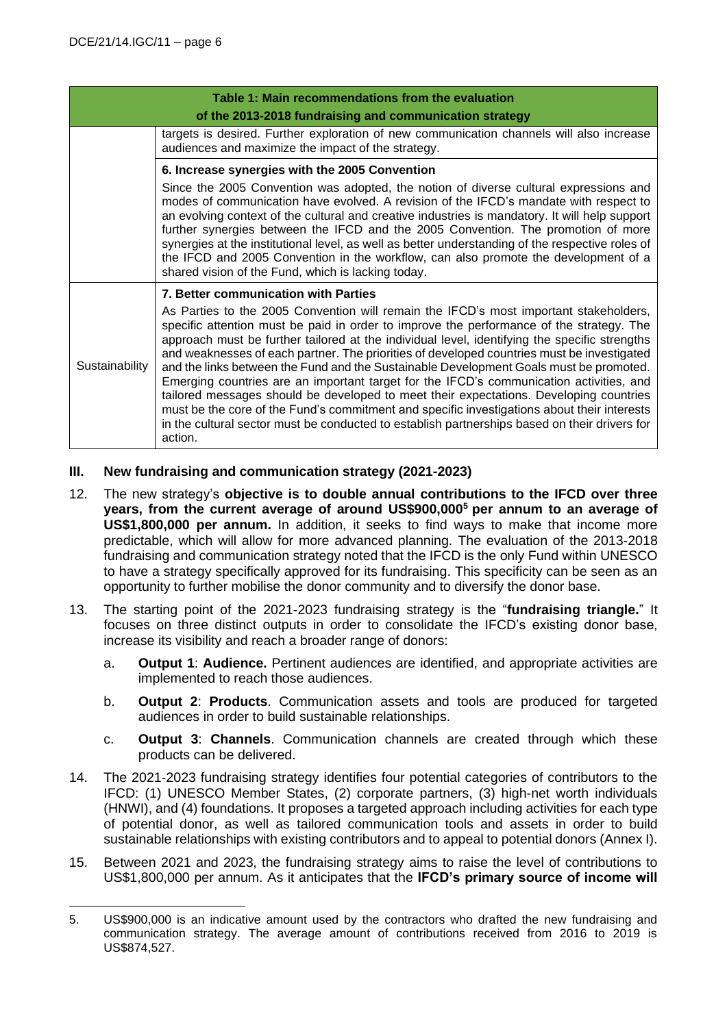| Table 1: Main recommendations from the evaluation<br>of the 2013-2018 fundraising and communication strategy |                                                                                                                                                                                                                                                                                                                                                                                                                                                                                                                                                                                                                                                                                                                                                                                                                                                                                                                    |  |  |  |
|--------------------------------------------------------------------------------------------------------------|--------------------------------------------------------------------------------------------------------------------------------------------------------------------------------------------------------------------------------------------------------------------------------------------------------------------------------------------------------------------------------------------------------------------------------------------------------------------------------------------------------------------------------------------------------------------------------------------------------------------------------------------------------------------------------------------------------------------------------------------------------------------------------------------------------------------------------------------------------------------------------------------------------------------|--|--|--|
|                                                                                                              | targets is desired. Further exploration of new communication channels will also increase<br>audiences and maximize the impact of the strategy.                                                                                                                                                                                                                                                                                                                                                                                                                                                                                                                                                                                                                                                                                                                                                                     |  |  |  |
|                                                                                                              | 6. Increase synergies with the 2005 Convention<br>Since the 2005 Convention was adopted, the notion of diverse cultural expressions and<br>modes of communication have evolved. A revision of the IFCD's mandate with respect to<br>an evolving context of the cultural and creative industries is mandatory. It will help support<br>further synergies between the IFCD and the 2005 Convention. The promotion of more<br>synergies at the institutional level, as well as better understanding of the respective roles of<br>the IFCD and 2005 Convention in the workflow, can also promote the development of a<br>shared vision of the Fund, which is lacking today.                                                                                                                                                                                                                                           |  |  |  |
| Sustainability                                                                                               | 7. Better communication with Parties<br>As Parties to the 2005 Convention will remain the IFCD's most important stakeholders,<br>specific attention must be paid in order to improve the performance of the strategy. The<br>approach must be further tailored at the individual level, identifying the specific strengths<br>and weaknesses of each partner. The priorities of developed countries must be investigated<br>and the links between the Fund and the Sustainable Development Goals must be promoted.<br>Emerging countries are an important target for the IFCD's communication activities, and<br>tailored messages should be developed to meet their expectations. Developing countries<br>must be the core of the Fund's commitment and specific investigations about their interests<br>in the cultural sector must be conducted to establish partnerships based on their drivers for<br>action. |  |  |  |

# **III. New fundraising and communication strategy (2021-2023)**

- 12. The new strategy's **objective is to double annual contributions to the IFCD over three years, from the current average of around US\$900,000<sup>5</sup> per annum to an average of US\$1,800,000 per annum.** In addition, it seeks to find ways to make that income more predictable, which will allow for more advanced planning. The evaluation of the 2013-2018 fundraising and communication strategy noted that the IFCD is the only Fund within UNESCO to have a strategy specifically approved for its fundraising. This specificity can be seen as an opportunity to further mobilise the donor community and to diversify the donor base.
- 13. The starting point of the 2021-2023 fundraising strategy is the "**fundraising triangle.**" It focuses on three distinct outputs in order to consolidate the IFCD's existing donor base, increase its visibility and reach a broader range of donors:
	- a. **Output 1**: **Audience.** Pertinent audiences are identified, and appropriate activities are implemented to reach those audiences.
	- b. **Output 2**: **Products**. Communication assets and tools are produced for targeted audiences in order to build sustainable relationships.
	- c. **Output 3**: **Channels**. Communication channels are created through which these products can be delivered.
- 14. The 2021-2023 fundraising strategy identifies four potential categories of contributors to the IFCD: (1) UNESCO Member States, (2) corporate partners, (3) high-net worth individuals (HNWI), and (4) foundations. It proposes a targeted approach including activities for each type of potential donor, as well as tailored communication tools and assets in order to build sustainable relationships with existing contributors and to appeal to potential donors (Annex I).
- 15. Between 2021 and 2023, the fundraising strategy aims to raise the level of contributions to US\$1,800,000 per annum. As it anticipates that the **IFCD's primary source of income will**

<sup>5.</sup> US\$900,000 is an indicative amount used by the contractors who drafted the new fundraising and communication strategy. The average amount of contributions received from 2016 to 2019 is US\$874,527.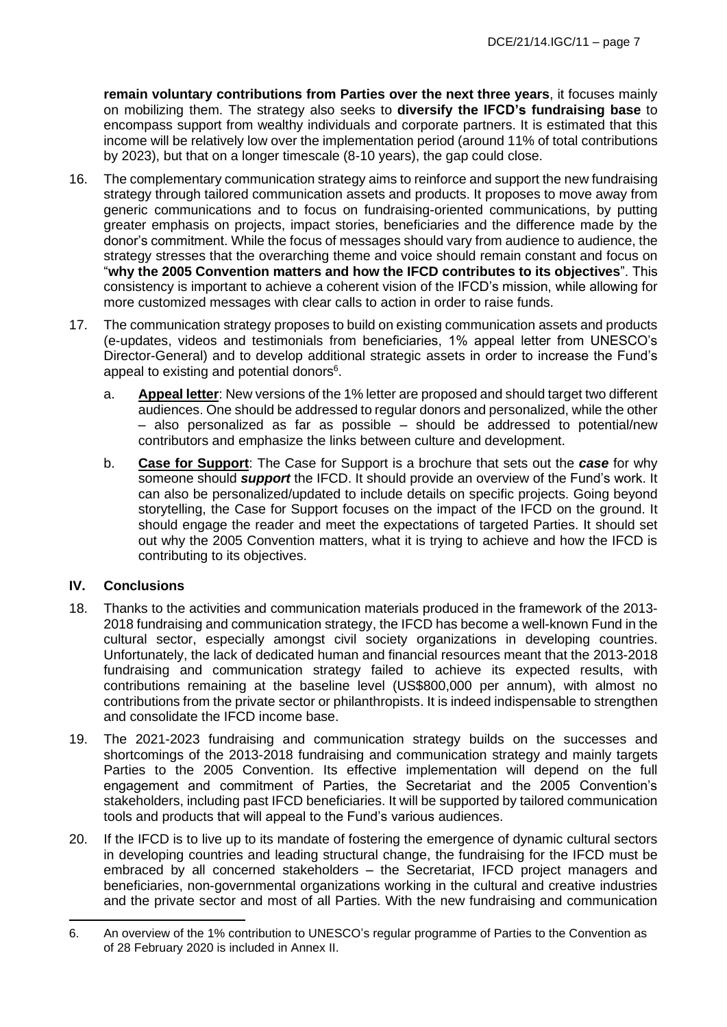**remain voluntary contributions from Parties over the next three years**, it focuses mainly on mobilizing them. The strategy also seeks to **diversify the IFCD's fundraising base** to encompass support from wealthy individuals and corporate partners. It is estimated that this income will be relatively low over the implementation period (around 11% of total contributions by 2023), but that on a longer timescale (8-10 years), the gap could close.

- 16. The complementary communication strategy aims to reinforce and support the new fundraising strategy through tailored communication assets and products. It proposes to move away from generic communications and to focus on fundraising-oriented communications, by putting greater emphasis on projects, impact stories, beneficiaries and the difference made by the donor's commitment. While the focus of messages should vary from audience to audience, the strategy stresses that the overarching theme and voice should remain constant and focus on "**why the 2005 Convention matters and how the IFCD contributes to its objectives**". This consistency is important to achieve a coherent vision of the IFCD's mission, while allowing for more customized messages with clear calls to action in order to raise funds.
- 17. The communication strategy proposes to build on existing communication assets and products (e-updates, videos and testimonials from beneficiaries, 1% appeal letter from UNESCO's Director-General) and to develop additional strategic assets in order to increase the Fund's appeal to existing and potential donors<sup>6</sup>.
	- a. **Appeal letter**: New versions of the 1% letter are proposed and should target two different audiences. One should be addressed to regular donors and personalized, while the other – also personalized as far as possible – should be addressed to potential/new contributors and emphasize the links between culture and development.
	- b. **Case for Support**: The Case for Support is a brochure that sets out the *case* for why someone should *support* the IFCD. It should provide an overview of the Fund's work. It can also be personalized/updated to include details on specific projects. Going beyond storytelling, the Case for Support focuses on the impact of the IFCD on the ground. It should engage the reader and meet the expectations of targeted Parties. It should set out why the 2005 Convention matters, what it is trying to achieve and how the IFCD is contributing to its objectives.

# **IV. Conclusions**

- 18. Thanks to the activities and communication materials produced in the framework of the 2013- 2018 fundraising and communication strategy, the IFCD has become a well-known Fund in the cultural sector, especially amongst civil society organizations in developing countries. Unfortunately, the lack of dedicated human and financial resources meant that the 2013-2018 fundraising and communication strategy failed to achieve its expected results, with contributions remaining at the baseline level (US\$800,000 per annum), with almost no contributions from the private sector or philanthropists. It is indeed indispensable to strengthen and consolidate the IFCD income base.
- 19. The 2021-2023 fundraising and communication strategy builds on the successes and shortcomings of the 2013-2018 fundraising and communication strategy and mainly targets Parties to the 2005 Convention. Its effective implementation will depend on the full engagement and commitment of Parties, the Secretariat and the 2005 Convention's stakeholders, including past IFCD beneficiaries. It will be supported by tailored communication tools and products that will appeal to the Fund's various audiences.
- 20. If the IFCD is to live up to its mandate of fostering the emergence of dynamic cultural sectors in developing countries and leading structural change, the fundraising for the IFCD must be embraced by all concerned stakeholders – the Secretariat, IFCD project managers and beneficiaries, non-governmental organizations working in the cultural and creative industries and the private sector and most of all Parties. With the new fundraising and communication

<sup>6.</sup> An overview of the 1% contribution to UNESCO's regular programme of Parties to the Convention as of 28 February 2020 is included in Annex II.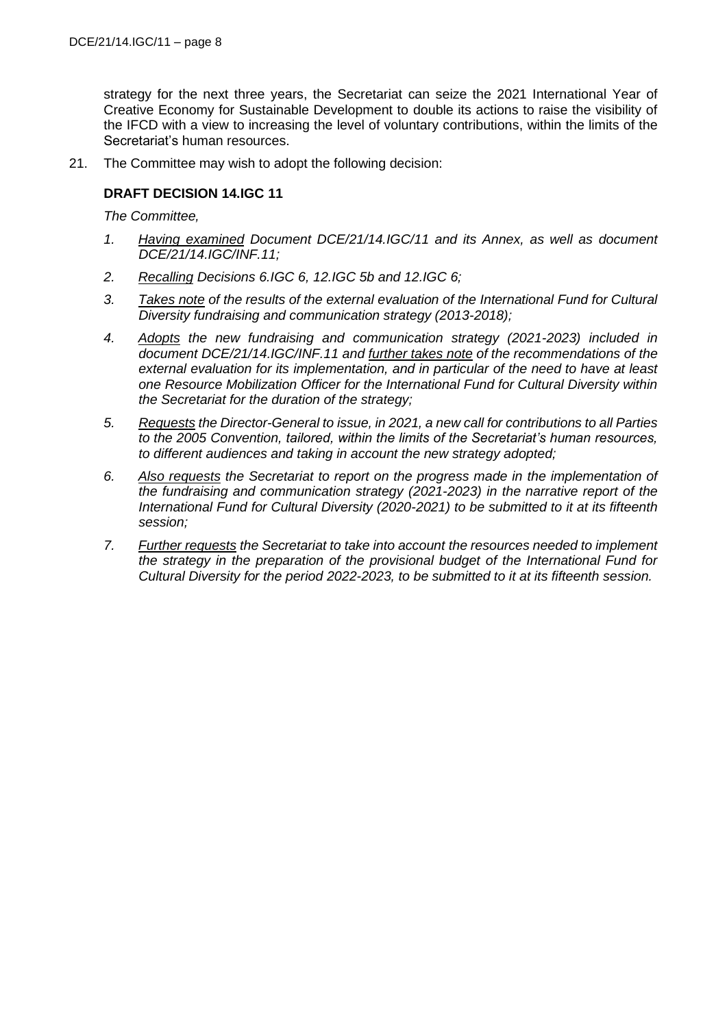strategy for the next three years, the Secretariat can seize the 2021 International Year of Creative Economy for Sustainable Development to double its actions to raise the visibility of the IFCD with a view to increasing the level of voluntary contributions, within the limits of the Secretariat's human resources.

21. The Committee may wish to adopt the following decision:

# **DRAFT DECISION 14.IGC 11**

*The Committee,*

- *1. Having examined Document DCE/21/14.IGC/11 and its Annex, as well as document DCE/21/14.IGC/INF.11;*
- *2. Recalling Decisions 6.IGC 6, 12.IGC 5b and 12.IGC 6;*
- *3. Takes note of the results of the external evaluation of the International Fund for Cultural Diversity fundraising and communication strategy (2013-2018);*
- *4. Adopts the new fundraising and communication strategy (2021-2023) included in document DCE/21/14.IGC/INF.11 and further takes note of the recommendations of the external evaluation for its implementation, and in particular of the need to have at least one Resource Mobilization Officer for the International Fund for Cultural Diversity within the Secretariat for the duration of the strategy;*
- *5. Requests the Director-General to issue, in 2021, a new call for contributions to all Parties to the 2005 Convention, tailored, within the limits of the Secretariat's human resources, to different audiences and taking in account the new strategy adopted;*
- *6. Also requests the Secretariat to report on the progress made in the implementation of the fundraising and communication strategy (2021-2023) in the narrative report of the International Fund for Cultural Diversity (2020-2021) to be submitted to it at its fifteenth session;*
- *7. Further requests the Secretariat to take into account the resources needed to implement the strategy in the preparation of the provisional budget of the International Fund for Cultural Diversity for the period 2022-2023, to be submitted to it at its fifteenth session.*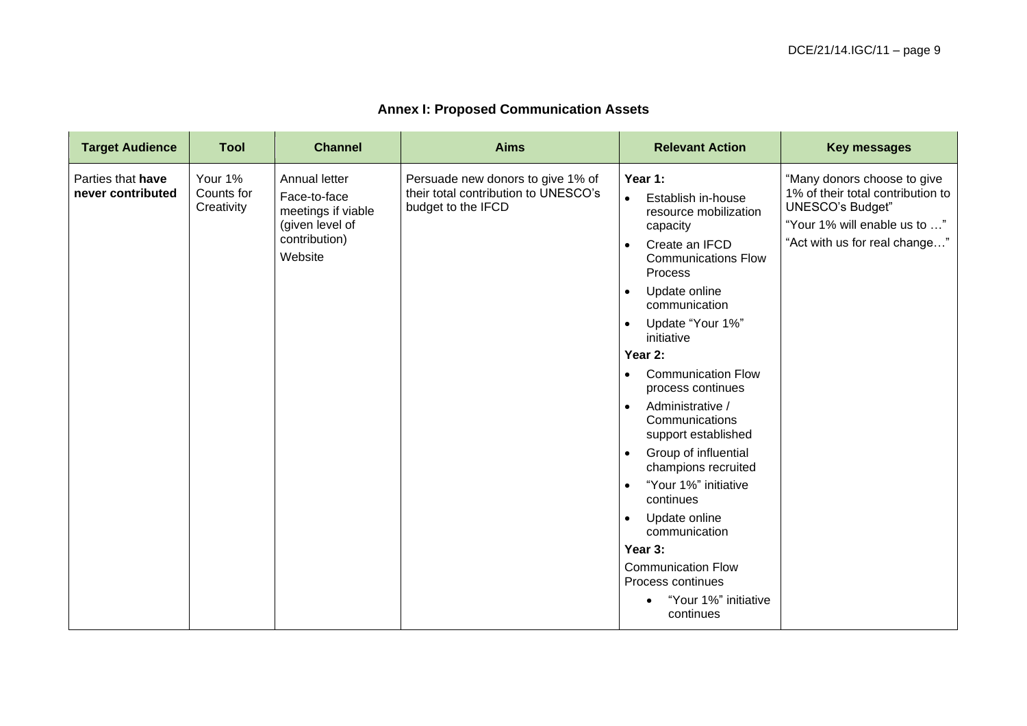| <b>Annex I: Proposed Communication Assets</b> |  |
|-----------------------------------------------|--|
|-----------------------------------------------|--|

| <b>Target Audience</b>                 | <b>Tool</b>                         | <b>Channel</b>                                                                                     | <b>Aims</b>                                                                                     | <b>Relevant Action</b>                                                                                                                                                                                                                                                                                                                                                                                                                                                                                                                                                                                               | <b>Key messages</b>                                                                                                                                          |
|----------------------------------------|-------------------------------------|----------------------------------------------------------------------------------------------------|-------------------------------------------------------------------------------------------------|----------------------------------------------------------------------------------------------------------------------------------------------------------------------------------------------------------------------------------------------------------------------------------------------------------------------------------------------------------------------------------------------------------------------------------------------------------------------------------------------------------------------------------------------------------------------------------------------------------------------|--------------------------------------------------------------------------------------------------------------------------------------------------------------|
| Parties that have<br>never contributed | Your 1%<br>Counts for<br>Creativity | Annual letter<br>Face-to-face<br>meetings if viable<br>(given level of<br>contribution)<br>Website | Persuade new donors to give 1% of<br>their total contribution to UNESCO's<br>budget to the IFCD | Year 1:<br>Establish in-house<br>$\bullet$<br>resource mobilization<br>capacity<br>Create an IFCD<br><b>Communications Flow</b><br>Process<br>Update online<br>communication<br>Update "Your 1%"<br>$\bullet$<br>initiative<br>Year 2:<br><b>Communication Flow</b><br>$\bullet$<br>process continues<br>Administrative /<br>$\bullet$<br>Communications<br>support established<br>Group of influential<br>$\bullet$<br>champions recruited<br>"Your 1%" initiative<br>continues<br>Update online<br>communication<br>Year 3:<br><b>Communication Flow</b><br>Process continues<br>"Your 1%" initiative<br>continues | "Many donors choose to give<br>1% of their total contribution to<br><b>UNESCO's Budget"</b><br>"Your 1% will enable us to "<br>"Act with us for real change" |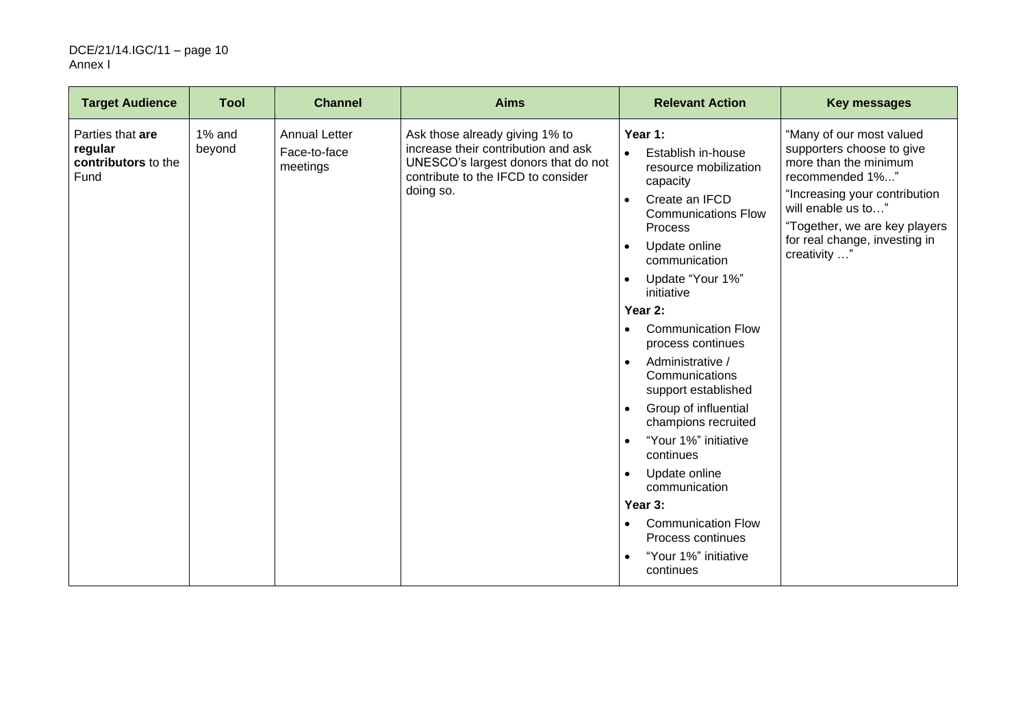#### DCE/21/14.IGC/11 – page 10 Annex I

| <b>Target Audience</b>                                     | <b>Tool</b>      | <b>Channel</b>                                   | <b>Aims</b>                                                                                                                                                     | <b>Relevant Action</b>                                                                                                                                                                                                                                                                                                                                                                                                                                                                                                                                                                                                                         | <b>Key messages</b>                                                                                                                                                                                                                        |
|------------------------------------------------------------|------------------|--------------------------------------------------|-----------------------------------------------------------------------------------------------------------------------------------------------------------------|------------------------------------------------------------------------------------------------------------------------------------------------------------------------------------------------------------------------------------------------------------------------------------------------------------------------------------------------------------------------------------------------------------------------------------------------------------------------------------------------------------------------------------------------------------------------------------------------------------------------------------------------|--------------------------------------------------------------------------------------------------------------------------------------------------------------------------------------------------------------------------------------------|
| Parties that are<br>regular<br>contributors to the<br>Fund | 1% and<br>beyond | <b>Annual Letter</b><br>Face-to-face<br>meetings | Ask those already giving 1% to<br>increase their contribution and ask<br>UNESCO's largest donors that do not<br>contribute to the IFCD to consider<br>doing so. | Year 1:<br>Establish in-house<br>$\bullet$<br>resource mobilization<br>capacity<br>Create an IFCD<br>$\bullet$<br><b>Communications Flow</b><br>Process<br>Update online<br>communication<br>Update "Your 1%"<br>$\bullet$<br>initiative<br>Year 2:<br><b>Communication Flow</b><br>$\bullet$<br>process continues<br>Administrative /<br>$\bullet$<br>Communications<br>support established<br>Group of influential<br>$\bullet$<br>champions recruited<br>"Your 1%" initiative<br>continues<br>Update online<br>communication<br>Year 3:<br><b>Communication Flow</b><br>$\bullet$<br>Process continues<br>"Your 1%" initiative<br>continues | "Many of our most valued<br>supporters choose to give<br>more than the minimum<br>recommended 1%"<br>"Increasing your contribution<br>will enable us to"<br>"Together, we are key players<br>for real change, investing in<br>creativity " |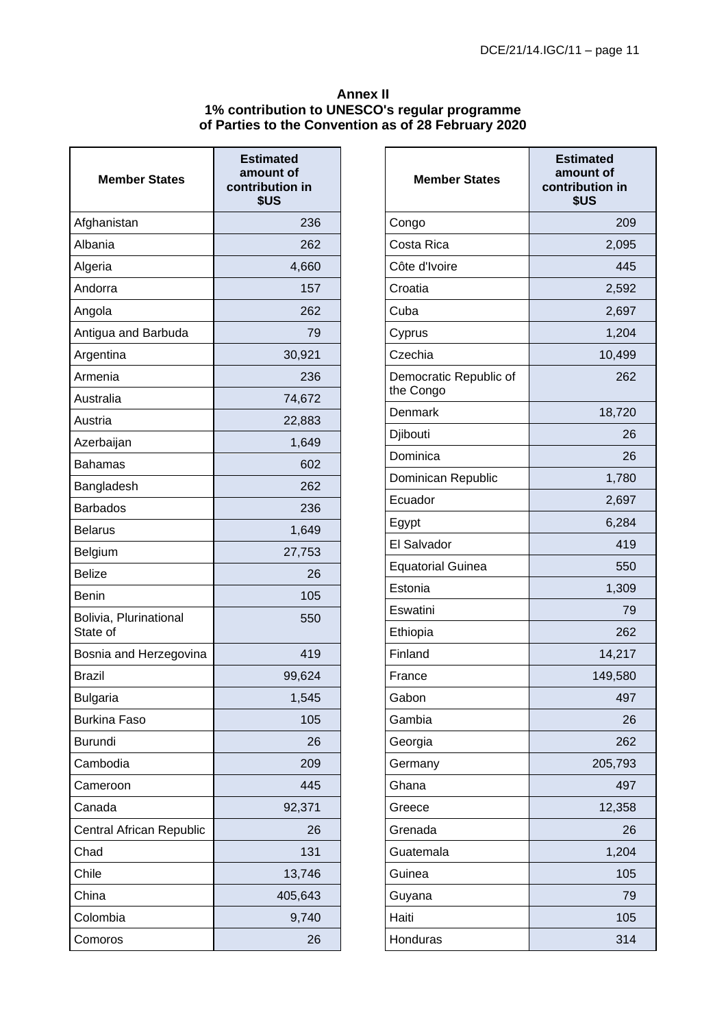# **Annex II 1% contribution to UNESCO's regular programme of Parties to the Convention as of 28 February 2020**

| <b>Member States</b>               | <b>Estimated</b><br>amount of<br>contribution in<br>\$US |
|------------------------------------|----------------------------------------------------------|
| Afghanistan                        | 236                                                      |
| Albania                            | 262                                                      |
| Algeria                            | 4,660                                                    |
| Andorra                            | 157                                                      |
| Angola                             | 262                                                      |
| Antigua and Barbuda                | 79                                                       |
| Argentina                          | 30,921                                                   |
| Armenia                            | 236                                                      |
| Australia                          | 74,672                                                   |
| Austria                            | 22,883                                                   |
| Azerbaijan                         | 1,649                                                    |
| Bahamas                            | 602                                                      |
| Bangladesh                         | 262                                                      |
| <b>Barbados</b>                    | 236                                                      |
| <b>Belarus</b>                     | 1,649                                                    |
| Belgium                            | 27,753                                                   |
| <b>Belize</b>                      | 26                                                       |
| <b>Benin</b>                       | 105                                                      |
| Bolivia, Plurinational<br>State of | 550                                                      |
| Bosnia and Herzegovina             | 419                                                      |
| <b>Brazil</b>                      | 99,624                                                   |
| <b>Bulgaria</b>                    | 1,545                                                    |
| <b>Burkina Faso</b>                | 105                                                      |
| <b>Burundi</b>                     | 26                                                       |
| Cambodia                           | 209                                                      |
| Cameroon                           | 445                                                      |
| Canada                             | 92,371                                                   |
| Central African Republic           | 26                                                       |
| Chad                               | 131                                                      |
| Chile                              | 13,746                                                   |
| China                              | 405,643                                                  |
| Colombia                           | 9,740                                                    |
| Comoros                            | 26                                                       |

| <b>Member States</b>                | <b>Estimated</b><br>amount of<br>contribution in<br>\$US |
|-------------------------------------|----------------------------------------------------------|
| Congo                               | 209                                                      |
| Costa Rica                          | 2,095                                                    |
| Côte d'Ivoire                       | 445                                                      |
| Croatia                             | 2,592                                                    |
| Cuba                                | 2,697                                                    |
| Cyprus                              | 1,204                                                    |
| Czechia                             | 10,499                                                   |
| Democratic Republic of<br>the Congo | 262                                                      |
| Denmark                             | 18,720                                                   |
| Djibouti                            | 26                                                       |
| Dominica                            | 26                                                       |
| Dominican Republic                  | 1,780                                                    |
| Ecuador                             | 2,697                                                    |
| Egypt                               | 6,284                                                    |
| El Salvador                         | 419                                                      |
| <b>Equatorial Guinea</b>            | 550                                                      |
| Estonia                             | 1,309                                                    |
| Eswatini                            | 79                                                       |
| Ethiopia                            | 262                                                      |
| Finland                             | 14,217                                                   |
| France                              | 149,580                                                  |
| Gabon                               | 497                                                      |
| Gambia                              | 26                                                       |
| Georgia                             | 262                                                      |
| Germany                             | 205,793                                                  |
| Ghana                               | 497                                                      |
| Greece                              | 12,358                                                   |
| Grenada                             | 26                                                       |
| Guatemala                           | 1,204                                                    |
| Guinea                              | 105                                                      |
| Guyana                              | 79                                                       |
| Haiti                               | 105                                                      |
| Honduras                            | 314                                                      |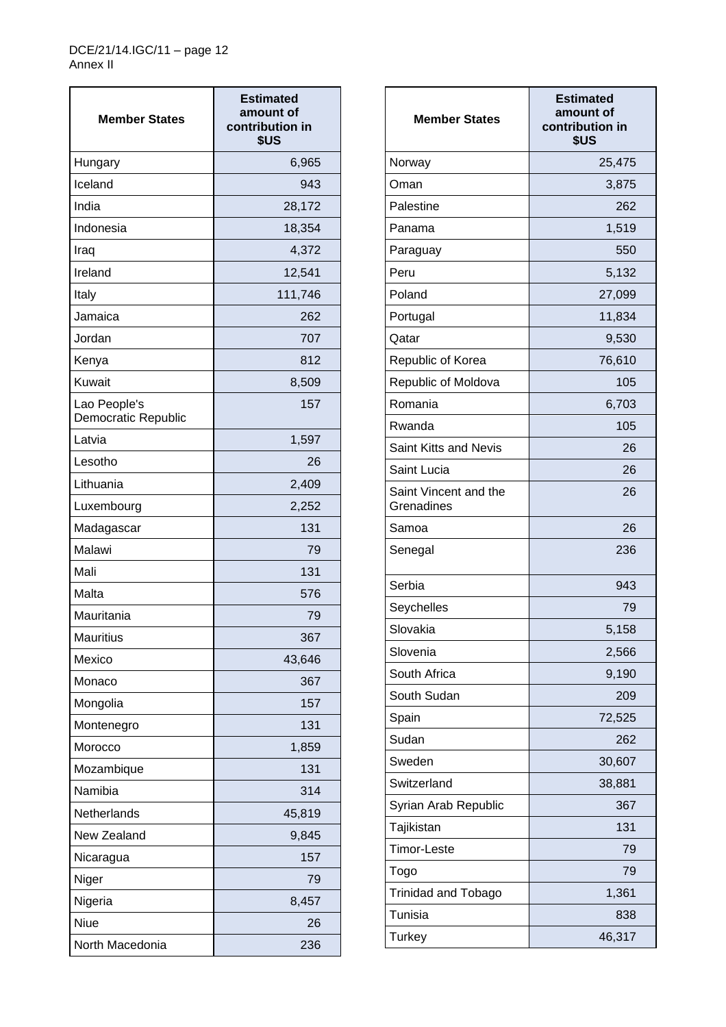| <b>Member States</b>                | <b>Estimated</b><br>amount of<br>contribution in<br>\$US |
|-------------------------------------|----------------------------------------------------------|
| Hungary                             | 6,965                                                    |
| Iceland                             | 943                                                      |
| India                               | 28,172                                                   |
| Indonesia                           | 18,354                                                   |
| Iraq                                | 4,372                                                    |
| Ireland                             | 12,541                                                   |
| Italy                               | 111,746                                                  |
| Jamaica                             | 262                                                      |
| Jordan                              | 707                                                      |
| Kenya                               | 812                                                      |
| Kuwait                              | 8,509                                                    |
| Lao People's<br>Democratic Republic | 157                                                      |
| Latvia                              | 1,597                                                    |
| Lesotho                             | 26                                                       |
| Lithuania                           | 2,409                                                    |
| Luxembourg                          | 2,252                                                    |
| Madagascar                          | 131                                                      |
| Malawi                              | 79                                                       |
| Mali                                | 131                                                      |
| Malta                               | 576                                                      |
| Mauritania                          | 79                                                       |
| <b>Mauritius</b>                    | 367                                                      |
| Mexico                              | 43,646                                                   |
| Monaco                              | 367                                                      |
| Mongolia                            | 157                                                      |
| Montenegro                          | 131                                                      |
| Morocco                             | 1,859                                                    |
| Mozambique                          | 131                                                      |
| Namibia                             | 314                                                      |
| Netherlands                         | 45,819                                                   |
| New Zealand                         | 9,845                                                    |
| Nicaragua                           | 157                                                      |
| Niger                               | 79                                                       |
| Nigeria                             | 8,457                                                    |
| Niue                                | 26                                                       |
| North Macedonia                     | 236                                                      |

| <b>Member States</b>                | <b>Estimated</b><br>amount of<br>contribution in<br>\$US |
|-------------------------------------|----------------------------------------------------------|
| Norway                              | 25,475                                                   |
| Oman                                | 3,875                                                    |
| Palestine                           | 262                                                      |
| Panama                              | 1,519                                                    |
| Paraguay                            | 550                                                      |
| Peru                                | 5,132                                                    |
| Poland                              | 27,099                                                   |
| Portugal                            | 11,834                                                   |
| Qatar                               | 9,530                                                    |
| Republic of Korea                   | 76,610                                                   |
| Republic of Moldova                 | 105                                                      |
| Romania                             | 6,703                                                    |
| Rwanda                              | 105                                                      |
| <b>Saint Kitts and Nevis</b>        | 26                                                       |
| Saint Lucia                         | 26                                                       |
| Saint Vincent and the<br>Grenadines | 26                                                       |
| Samoa                               | 26                                                       |
| Senegal                             | 236                                                      |
| Serbia                              | 943                                                      |
| Seychelles                          | 79                                                       |
| Slovakia                            | 5,158                                                    |
| Slovenia                            | 2,566                                                    |
| South Africa                        | 9,190                                                    |
| South Sudan                         | 209                                                      |
| Spain                               | 72,525                                                   |
| Sudan                               | 262                                                      |
| Sweden                              | 30,607                                                   |
| Switzerland                         | 38,881                                                   |
| Syrian Arab Republic                | 367                                                      |
| Tajikistan                          | 131                                                      |
| <b>Timor-Leste</b>                  | 79                                                       |
| Togo                                | 79                                                       |
| <b>Trinidad and Tobago</b>          | 1,361                                                    |
| Tunisia                             | 838                                                      |
| <b>Turkey</b>                       | 46,317                                                   |